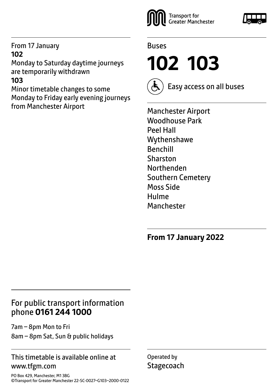#### From 17 January **102**

Monday to Saturday daytime journeys are temporarily withdrawn

# **103**

Minor timetable changes to some Monday to Friday early evening journeys from Manchester Airport





**102 103**



Easy access on all buses

Manchester Airport Woodhouse Park Peel Hall Wythenshawe Benchill Sharston Northenden Southern Cemetery Moss Side Hulme **Manchester** 

**From 17 January 2022**

# For public transport information phone **0161 244 1000**

7am – 8pm Mon to Fri 8am – 8pm Sat, Sun & public holidays

#### This timetable is available online at www.tfgm.com

Operated by **Stagecoach** 

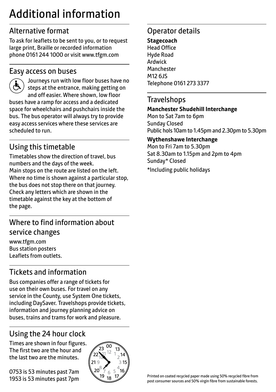# Additional information

# Alternative format

To ask for leaflets to be sent to you, or to request large print, Braille or recorded information phone 0161 244 1000 or visit www.tfgm.com

### Easy access on buses



 Journeys run with low floor buses have no steps at the entrance, making getting on and off easier. Where shown, low floor buses have a ramp for access and a dedicated space for wheelchairs and pushchairs inside the bus. The bus operator will always try to provide easy access services where these services are scheduled to run.

# Using this timetable

Timetables show the direction of travel, bus numbers and the days of the week. Main stops on the route are listed on the left. Where no time is shown against a particular stop, the bus does not stop there on that journey. Check any letters which are shown in the timetable against the key at the bottom of the page.

# Where to find information about service changes

www.tfgm.com Bus station posters Leaflets from outlets.

# Tickets and information

Bus companies offer a range of tickets for use on their own buses. For travel on any service in the County, use System One tickets, including DaySaver. Travelshops provide tickets, information and journey planning advice on buses, trains and trams for work and pleasure.

# Using the 24 hour clock

Times are shown in four figures. The first two are the hour and the last two are the minutes.

0753 is 53 minutes past 7am 1953 is 53 minutes past 7pm



# Operator details

**Stagecoach** Head Office Hyde Road Ardwick **Manchester** M12 6JS Telephone 0161 273 3377

#### **Travelshops**

#### **Manchester Shudehill Interchange**

Mon to Sat 7am to 6pm Sunday Closed Public hols 10am to 1.45pm and 2.30pm to 5.30pm

#### **Wythenshawe Interchange**

Mon to Fri 7am to 5.30pm Sat 8.30am to 1.15pm and 2pm to 4pm Sunday\* Closed \*Including public holidays

Printed on coated recycled paper made using 50% recycled fibre from post consumer sources and 50% virgin fibre from sustainable forests.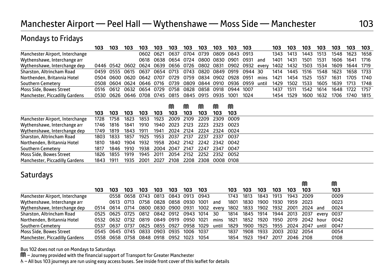# Manchester Airport — Peel Hall — Wythenshawe — Moss Side — Manchester 103

#### Mondays to Fridays

|                                       | 103  | 103                                                                         | 103 | 103       | 103 | 103                 | 103       | 103                 | 103  | 103            | 103 |      | 103  | 103       | 103  | 103  | 103  | 103                 | 103    |
|---------------------------------------|------|-----------------------------------------------------------------------------|-----|-----------|-----|---------------------|-----------|---------------------|------|----------------|-----|------|------|-----------|------|------|------|---------------------|--------|
| Manchester Airport, Interchange       |      |                                                                             |     | 0602 0621 |     | 0637                |           | 0704 0739           |      | 0809 0843 0913 |     |      | 1343 | 1413      | 1443 | 1513 | 1548 | 1623                | 1658   |
| Wythenshawe, Interchange arr          |      |                                                                             |     |           |     | 0618 0638 0654 0724 |           | 0800 0830 0901 0931 |      |                |     | and  | 1401 | 1431      | 1501 | 1531 | 1606 | 1641 1716           |        |
| Wythenshawe, Interchange dep          |      | 0446 0542 0602 0624 0639 0656 0726 0802 0831 0902 0932 every 1402 1432 1503 |     |           |     |                     |           |                     |      |                |     |      |      |           |      | 1534 |      | 1609 1644 1719      |        |
| Sharston, Altrincham Road             |      | 0459 0555 0615 0637 0654 0713 0743 0820 0849 0919 0944 30                   |     |           |     |                     |           |                     |      |                |     |      | 1414 | 1445 1516 |      |      |      | 1548 1623 1658 1733 |        |
| Northenden, Britannia Hotel           |      | 0504 0600 0620 0642 0707 0729 0759 0834 0902 0928 0951                      |     |           |     |                     |           |                     |      |                |     | mins | 1421 | 1454      | 1525 | 1557 | 1631 | 1705 1740           |        |
| Southern Cemetery                     |      | 0508 0604 0624 0646 0716 0739 0809 0844 0910 0936 0959 until                |     |           |     |                     |           |                     |      |                |     |      | 1429 | 1502      | 1533 | 1605 | 1639 | 1713                | - 1748 |
| Moss Side, Bowes Street               | 0516 | 0612 0632 0654 0729                                                         |     |           |     | 0758                | 0828      | 0858 0918 0944 1007 |      |                |     |      | 1437 | 1511      | 1542 | 1614 | 1648 | 1722                | - 1757 |
| <b>Manchester, Piccadilly Gardens</b> | 0530 | 0626 0646 0708 0745 0815                                                    |     |           |     |                     | 0845 0915 |                     | 0935 | 1001 1024      |     |      | 1454 | 1529      | 1600 | 1632 | 1706 | 1740 1815           |        |

|                                 |      |        |           |      |        | M              | M    | M                             |           | M    |  |
|---------------------------------|------|--------|-----------|------|--------|----------------|------|-------------------------------|-----------|------|--|
|                                 | 103  | 103    | 103       | 103  | 103    | 103            | 103  | 103                           | 103       | 103  |  |
| Manchester Airport, Interchange | 1728 | 1758   | 1823      | 1853 | 1923   | 2009           | 2109 | 2209                          | 2309      | 0009 |  |
| Wythenshawe, Interchange arr    | 1746 | 1816   | 1841      | 1910 | 1940   | 2023           | 2123 | 2223                          | 2323      | 0023 |  |
| Wythenshawe, Interchange dep    | 1749 | 1819   | 1843      | 1911 | 1941   | 2024           | 2124 | 2224                          | 2324      | 0024 |  |
| Sharston, Altrincham Road       | 1803 | 1833   | 1857      | 1925 | 1953   | 2037           | 2137 | 2237                          | 2337      | 0037 |  |
| Northenden, Britannia Hotel     | 1810 | 1840   | 1904      | 1932 |        |                |      | 1958 2042 2142 2242 2342 0042 |           |      |  |
| <b>Southern Cemetery</b>        | 1817 |        | 1846 1910 | 1938 |        | 2004 2047 2147 |      | 2247                          | 2347      | 0047 |  |
| Moss Side, Bowes Street         | 1826 | 1855   | 1919      | 1945 | - 2011 | 2054           | 2152 | 2252                          | 2352 0052 |      |  |
| Manchester, Piccadilly Gardens  | 1843 | - 1911 | 1935      | 2001 | 2027   | 2108           | 2208 | 2308                          | 0008 0108 |      |  |

#### **Saturdays**

|                                 |      |      |           |                                    |      |      |           |      |       |      |      |      |      |           | M    |       | M    |
|---------------------------------|------|------|-----------|------------------------------------|------|------|-----------|------|-------|------|------|------|------|-----------|------|-------|------|
|                                 | 103  | 103  | 103       | 103                                | 103  | 103  | 103       | 103  |       | 103  | 103  | 103  | 103  | 103       | 103  |       | 103  |
| Manchester Airport, Interchange |      |      |           | 0558 0658 0743                     | 0813 |      | 0843 0913 | 0943 |       | 1743 | 1813 | 1843 | 1913 | 1943      | 2009 |       | 0009 |
| Wythenshawe, Interchange arr    |      | 0613 | 0713      | 0758                               | 0828 | 0858 | 0930      | 1001 | and   | 1801 | 1830 | 1900 | 1930 | 1959      | 2023 |       | 0023 |
| Wythenshawe, Interchange dep    | 0514 | 0614 | 0714      | 0800 0830 0900 0931                |      |      |           | 1002 | every | 1802 | 1833 | 1902 | 1932 | 2001      | 2024 | and   | 0024 |
| Sharston, Altrincham Road       | 0525 |      |           | 0625 0725 0812 0842 0912 0943 1014 |      |      |           |      | 30    | 1814 | 1845 | 1914 | 1944 | 2013      | 2037 | every | 0037 |
| Northenden, Britannia Hotel     | 0532 |      | 0632 0732 | 0819 0849 0919                     |      |      | 0950      | 1021 | mins  | 1821 | 1852 | 1920 | 1950 | 2019      | 2042 | hour  | 0042 |
| Southern Cemetery               | 0537 | 0637 | 0737      | 0825 0855                          |      | 0927 | 0958      | 1029 | until | 1829 | 1900 | 1925 | 1955 | 2024      | 2047 | until | 0047 |
| Moss Side, Bowes Street         |      |      |           | 0545 0645 0745 0833 0903           |      | 0935 | 1006      | 1037 |       | 1837 | 1908 | 1933 | 2003 | 2032 2054 |      |       | 0054 |
| Manchester, Piccadilly Gardens  | 0558 |      |           | 0658 0758 0848 0918                |      | 0952 | 1023      | 1054 |       | 1854 | 1923 | 1947 | 2017 | 2046 2108 |      |       | 0108 |

Bus 102 does not run on Mondays to Saturdays

M – Journey provided with the financial support of Transport for Greater Manchester

& - All bus 103 journeys are run using easy access buses. See inside front cover of this leaflet for details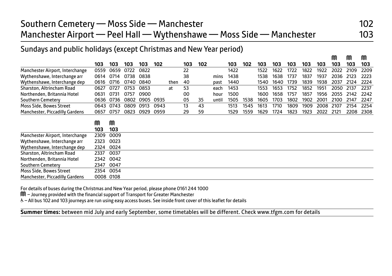## Sundays and public holidays (except Christmas and New Year period)

|                                 |      |           |      |      |      |      |     |     |       |      |      |      |      |      |      |      | M    | ⋒    | M    |
|---------------------------------|------|-----------|------|------|------|------|-----|-----|-------|------|------|------|------|------|------|------|------|------|------|
|                                 | 103  | 103       | 103  | 103  | 102  |      | 103 | 102 |       | 103  | 102  | 103  | 103  | 103  | 103  | 103  | 103  | 103  | 103  |
| Manchester Airport, Interchange | 0559 | 0659      | 0722 | 0822 |      |      | 22  |     |       | 1422 |      | 1522 | 1622 | 1722 | 1822 | 1922 | 2022 | 2109 | 2209 |
| Wythenshawe, Interchange arr    | 0614 | 0714      | 0738 | 0838 |      |      | 38  |     | mins  | 1438 |      | 1538 | 1638 | 1737 | 1837 | 1937 | 2036 | 2123 | 2223 |
| Wythenshawe, Interchange dep    | 0616 | 0716      | 0740 | 0840 |      | then | 40  |     | past  | 1440 |      | 1540 | 1640 | 1739 | 1839 | 1938 | 2037 | 2124 | 2224 |
| Sharston, Altrincham Road       | 0627 | 0727      | 0753 | 0853 |      | at   | 53  |     | each  | 1453 |      | 1553 | 1653 | 1752 | 1852 | 1951 | 2050 | 2137 | 2237 |
| Northenden, Britannia Hotel     | 0631 | 0731      | 0757 | 0900 |      |      | 00  |     | hour  | 1500 |      | 1600 | 1658 | 1757 | 1857 | 1956 | 2055 | 2142 | 2242 |
| Southern Cemetery               | 0636 | 0736      | 0802 | 0905 | 0935 |      | 05  | 35  | until | 1505 | 1538 | 1605 | 1703 | 1802 | 1902 | 2001 | 2100 | 2147 | 2247 |
| Moss Side, Bowes Street         | 0643 | 0743      | 0809 | 0913 | 0943 |      | 13  | 43  |       | 1513 | 1545 | 1613 | 1710 | 1809 | 1909 | 2008 | 2107 | 2154 | 2254 |
| Manchester, Piccadilly Gardens  | 0657 | 0757      | 0823 | 0929 | 0959 |      | 29  | 59  |       | 1529 | 1559 | 1629 | 1724 | 1823 | 1923 | 2022 | 2121 | 2208 | 2308 |
|                                 |      |           |      |      |      |      |     |     |       |      |      |      |      |      |      |      |      |      |      |
|                                 | M    | M         |      |      |      |      |     |     |       |      |      |      |      |      |      |      |      |      |      |
|                                 | 103  | 103       |      |      |      |      |     |     |       |      |      |      |      |      |      |      |      |      |      |
| Manchester Airport, Interchange | 2309 | 0009      |      |      |      |      |     |     |       |      |      |      |      |      |      |      |      |      |      |
| Wythenshawe, Interchange arr    | 2323 | 0023      |      |      |      |      |     |     |       |      |      |      |      |      |      |      |      |      |      |
| Wythenshawe, Interchange dep    | 2324 | 0024      |      |      |      |      |     |     |       |      |      |      |      |      |      |      |      |      |      |
| Sharston, Altrincham Road       | 2337 | 0037      |      |      |      |      |     |     |       |      |      |      |      |      |      |      |      |      |      |
| Northenden, Britannia Hotel     | 2342 | 0042      |      |      |      |      |     |     |       |      |      |      |      |      |      |      |      |      |      |
| <b>Southern Cemetery</b>        | 2347 | 0047      |      |      |      |      |     |     |       |      |      |      |      |      |      |      |      |      |      |
| Moss Side, Bowes Street         | 2354 | 0054      |      |      |      |      |     |     |       |      |      |      |      |      |      |      |      |      |      |
| Manchester, Piccadilly Gardens  |      | 0008 0108 |      |      |      |      |     |     |       |      |      |      |      |      |      |      |      |      |      |

For details of buses during the Christmas and New Year period, please phone 0161 244 1000

M – Journey provided with the financial support of Transport for Greater Manchester

Ī

W– All bus 102 and 103 journeys are run using easy access buses. See inside front cover of this leaflet for details

**Summer times:** between mid July and early September, some timetables will be different. Check www.tfgm.com for details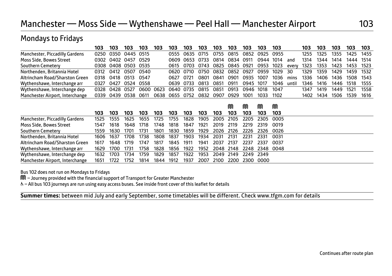| Pionuays to Filuays             |      |      |           |      |      |      |      |      |      |      |      |      |      |       |      |      |      |      |      |
|---------------------------------|------|------|-----------|------|------|------|------|------|------|------|------|------|------|-------|------|------|------|------|------|
|                                 | 103  | 103  | 103       | 103  | 103  | 103  | 103  | 103  | 103  | 103  | 103  | 103  | 103  |       | 103  | 103  | 103  | 103  | 103  |
| Manchester, Piccadilly Gardens  | 0250 | 0350 | 0445 0515 |      |      | 0555 | 0635 | 0715 | 0755 | 0815 | 0852 | 0925 | 0955 |       | 1255 | 1325 | 1355 | 1425 | 1455 |
| Moss Side, Bowes Street         | 0302 | 0402 | 0457      | 0529 |      | 0609 | 0653 | 0733 | 0814 | 0834 | 0911 | 0944 | 1014 | and   | 1314 | 1344 | 1414 | 1444 | 1514 |
| Southern Cemetery               | 0308 | 0408 | 0503      | 0535 |      | 0615 | 0703 | 0743 | 0825 | 0845 | 0921 | 0953 | 1023 | every | 1323 | 1353 | 1423 | 1453 | 1523 |
| Northenden, Britannia Hotel     | 0312 | 0412 | 0507      | 0540 |      | 0620 | 0710 | 0750 | 0832 | 0852 | 0927 | 0959 | 1029 | 30    | 1329 | 1359 | 1429 | 1459 | 1532 |
| Altrincham Road/Sharston Green  | 0318 | 0418 | 0513      | 0547 |      | 0627 | 0721 | 0801 | 0841 | 0901 | 0935 | 1007 | 1036 | mins  | 1336 | 1406 | 1436 | 1508 | 1543 |
| Wythenshawe, Interchange arr    | 0327 | 0427 | 0524      | 0558 |      | 0639 | 0733 | 0813 | 0851 | 0911 | 0945 | 1017 | 1046 | until | 1346 | 1416 | 1446 | 1518 | 1555 |
| Wythenshawe, Interchange dep    | 0328 | 0428 | 0527      | 0600 | 0623 | 0640 | 0735 | 0815 | 0851 | 0913 | 0946 | 1018 | 1047 |       | 1347 | 1419 | 1449 | 1521 | 1558 |
| Manchester Airport, Interchange | 0339 | 0439 | 0538      | 0611 | 0638 | 0655 | 0752 | 0832 | 0907 | 0929 | 1001 | 1033 | 1102 |       | 1402 | 1434 | 1506 | 1539 | 1616 |
|                                 |      |      |           |      |      |      |      |      |      |      |      |      |      |       |      |      |      |      |      |
|                                 |      |      |           |      |      |      |      |      |      | M    | M    | M    | M    |       |      |      |      |      |      |
|                                 | 103  | 103  | 103       | 103  | 103  | 103  | 103  | 103  | 103  | 103  | 103  | 103  | 103  |       |      |      |      |      |      |
| Manchester, Piccadilly Gardens  | 1525 | 1555 | 1625      | 1655 | 1725 | 1755 | 1828 | 1905 | 2005 | 2105 | 2205 | 2305 | 0005 |       |      |      |      |      |      |
| Moss Side, Bowes Street         | 1547 | 1618 | 1648      | 1718 | 1748 | 1818 | 1847 | 1921 | 2019 | 2119 | 2219 | 2319 | 0019 |       |      |      |      |      |      |
| Southern Cemetery               | 1559 | 1630 | 1701      | 1731 | 1801 | 1830 | 1859 | 1929 | 2026 | 2126 | 2226 | 2326 | 0026 |       |      |      |      |      |      |
| Northenden, Britannia Hotel     | 1606 | 1637 | 1708      | 1738 | 1808 | 1837 | 1903 | 1934 | 2031 | 2131 | 2231 | 2331 | 0031 |       |      |      |      |      |      |
| Altrincham Road/Sharston Green  | 1617 | 1648 | 1719      | 1747 | 1817 | 1845 | 1911 | 1941 | 2037 | 2137 | 2237 | 2337 | 0037 |       |      |      |      |      |      |
| Wythenshawe, Interchange arr    | 1629 | 1700 | 1731      | 1758 | 1828 | 1856 | 1922 | 1952 | 2048 | 2148 | 2248 | 2348 | 0048 |       |      |      |      |      |      |
| Wythenshawe, Interchange dep    | 1632 | 1703 | 1734      | 1759 | 1829 | 1857 | 1922 | 1953 | 2049 | 2149 | 2249 | 2349 |      |       |      |      |      |      |      |
| Manchester Airport, Interchange | 1651 | 1722 | 1752      | 1814 | 1844 | 1912 | 1937 | 2007 | 2100 | 2200 | 2300 | 0000 |      |       |      |      |      |      |      |

Bus 102 does not run on Mondays to Fridays

Mondays to Fridays

M – Journey provided with the financial support of Transport for Greater Manchester

W– All bus 103 journeys are run using easy access buses. See inside front cover of this leaflet for details

 $\overline{a}$ **Summer times:** between mid July and early September, some timetables will be different. Check www.tfgm.com for details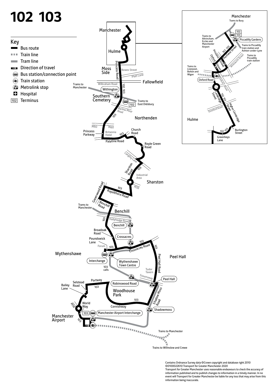

Contains Ordnance Survey data ©Crown copyright and database right 2010 ©0100022610 Transport for Greater Manchester 2020 Transport for Greater Manchester uses reasonable endeavours to check the accuracy of information published and to publish changes to information in a timely manner. In no event will Transport for Greater Manchester be liable for any loss that may arise from this information being inaccurate.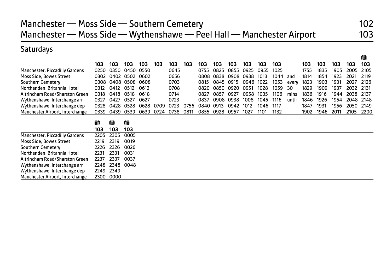M

# **Saturdays**

|                                       | 103      | 103      | 103      | 103  | 103  | 103  | 103  | 103  | 103  | 103  | 103  | 103  | 103  |       | 103  | 103  | 103  | 103  | 103  |
|---------------------------------------|----------|----------|----------|------|------|------|------|------|------|------|------|------|------|-------|------|------|------|------|------|
| <b>Manchester, Piccadilly Gardens</b> | 0250     | 0350     | 0450     | 0550 |      | 0645 |      | 0755 | 0825 | 0855 | 0925 | 0955 | 1025 |       | 1755 | 1835 | 1905 | 2005 | 2105 |
| Moss Side, Bowes Street               | 0302     | 0402     | 0502     | 0602 |      | 0656 |      | 0808 | 0838 | 0908 | 0938 | 1013 | 1044 | and   | 1814 | 1854 | 1923 | 2021 | 2119 |
| Southern Cemetery                     | 0308     | 0408     | 0508     | 0608 |      | 0703 |      | 0815 | 0845 | 0915 | 0946 | 1022 | 1053 | every | 1823 | 1903 | 1931 | 2027 | 2126 |
| Northenden, Britannia Hotel           | 0312     | 0412     | 0512     | 0612 |      | 0708 |      | 0820 | 0850 | 0920 | 0951 | 1028 | 1059 | 30    | 1829 | 1909 | 1937 | 2032 | 2131 |
| Altrincham Road/Sharston Green        | 0318     | 0418     | 0518     | 0618 |      | 0714 |      | 0827 | 0857 | 0927 | 0958 | 1035 | 1106 | mins  | 1836 | 1916 | 1944 | 2038 | 2137 |
| Wythenshawe, Interchange arr          | 0327     | 0427     | 0527     | 0627 |      | 0723 |      | 0837 | 0908 | 0938 | 1008 | 1045 | 1116 | until | 1846 | 1926 | 1954 | 2048 | 2148 |
| Wythenshawe, Interchange dep          | 0328     | 0428     | 0528     | 0628 | 0709 | 0723 | 0756 | 0840 | 0913 | 0942 | 1012 | 1046 | 1117 |       | 1847 | 1931 | 1956 | 2050 | 2149 |
| Manchester Airport, Interchange       | 0339     | 0439     | 0539     | 0639 | 0724 | 0738 | 0811 | 0855 | 0928 | 0957 | 1027 | 1101 | 1132 |       | 1902 | 1946 | 2011 | 2105 | 2200 |
|                                       | M<br>103 | M<br>103 | M<br>103 |      |      |      |      |      |      |      |      |      |      |       |      |      |      |      |      |
| Manchester, Piccadilly Gardens        | 2205     | 2305     | 0005     |      |      |      |      |      |      |      |      |      |      |       |      |      |      |      |      |
| Moss Side, Bowes Street               | 2219     | 2319     | 0019     |      |      |      |      |      |      |      |      |      |      |       |      |      |      |      |      |
| Southern Cemeterv                     | 2226     | 2326     | 0026     |      |      |      |      |      |      |      |      |      |      |       |      |      |      |      |      |
| Northenden, Britannia Hotel           | 2231     | 2331     | 0031     |      |      |      |      |      |      |      |      |      |      |       |      |      |      |      |      |
| Altrincham Road/Sharston Green        | 2237     | 2337     | 0037     |      |      |      |      |      |      |      |      |      |      |       |      |      |      |      |      |
| Wythenshawe, Interchange arr          | 2248     | 2348     | 0048     |      |      |      |      |      |      |      |      |      |      |       |      |      |      |      |      |
| Wythenshawe, Interchange dep          | 2249     | 2349     |          |      |      |      |      |      |      |      |      |      |      |       |      |      |      |      |      |
| Manchester Airport, Interchange       | 2300     | 0000     |          |      |      |      |      |      |      |      |      |      |      |       |      |      |      |      |      |